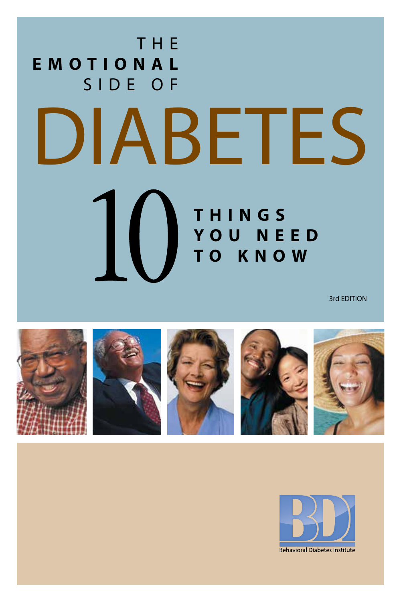## THE **EMOTIONAL** SIDE OF DIABETES  $\overline{\mathrm{10}}$ **THINGS YOU NEED TO KNOW**

3rd EDITION



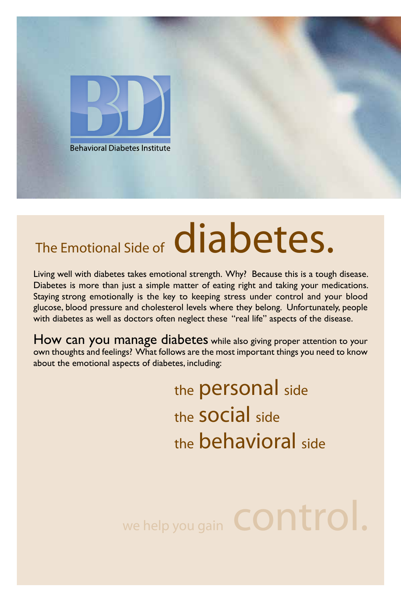

# The Emotional Side of **diabetes**.

Living well with diabetes takes emotional strength. Why? Because this is a tough disease. Diabetes is more than just a simple matter of eating right and taking your medications. Staying strong emotionally is the key to keeping stress under control and your blood glucose, blood pressure and cholesterol levels where they belong. Unfortunately, people with diabetes as well as doctors often neglect these "real life" aspects of the disease.

How can you manage diabetes while also giving proper attention to your own thoughts and feelings? What follows are the most important things you need to know about the emotional aspects of diabetes, including:

> the **personal** side the social side the behavioral side

we help you gain **CONTrol.**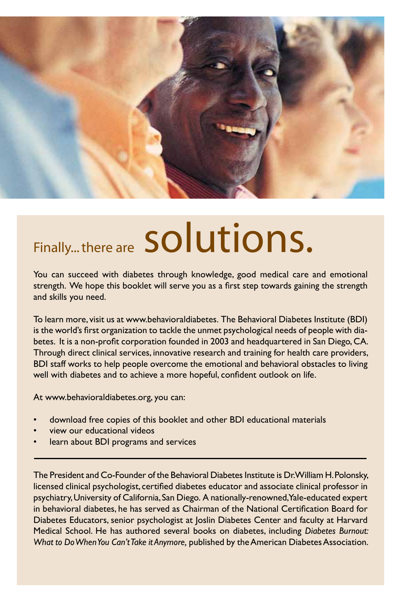

# Finally... there are Solutions.

You can succeed with diabetes through knowledge, good medical care and emotional strength. We hope this booklet will serve you as a first step towards gaining the strength and skills you need.

To learn more, visit us at www.behavioraldiabetes. The Behavioral Diabetes Institute (BDI) is the world's first organization to tackle the unmet psychological needs of people with diabetes. It is a non-profit corporation founded in 2003 and headquartered in San Diego, CA. Through direct clinical services, innovative research and training for health care providers, BDI staff works to help people overcome the emotional and behavioral obstacles to living well with diabetes and to achieve a more hopeful, confident outlook on life.

At www.behavioraldiabetes.org, you can:

- download free copies of this booklet and other BDI educational materials
- view our educational videos
- learn about BDI programs and services

The President and Co-Founder of the Behavioral Diabetes Institute is Dr. William H. Polonsky, licensed clinical psychologist, certified diabetes educator and associate clinical professor in psychiatry, University of California, San Diego. A nationally-renowned, Yale-educated expert in behavioral diabetes, he has served as Chairman of the National Certification Board for Diabetes Educators, senior psychologist at Joslin Diabetes Center and faculty at Harvard Medical School. He has authored several books on diabetes, including *Diabetes Burnout: What to Do When You Can't Take it Anymore,* published by the American Diabetes Association.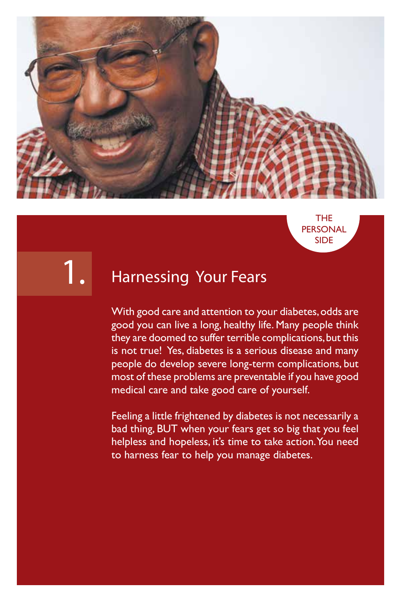

THE PERSONAL SIDE

1.

#### Harnessing Your Fears

With good care and attention to your diabetes, odds are good you can live a long, healthy life. Many people think they are doomed to suffer terrible complications, but this is not true! Yes, diabetes is a serious disease and many people do develop severe long-term complications, but most of these problems are preventable if you have good medical care and take good care of yourself.

Feeling a little frightened by diabetes is not necessarily a bad thing, BUT when your fears get so big that you feel helpless and hopeless, it's time to take action. You need to harness fear to help you manage diabetes.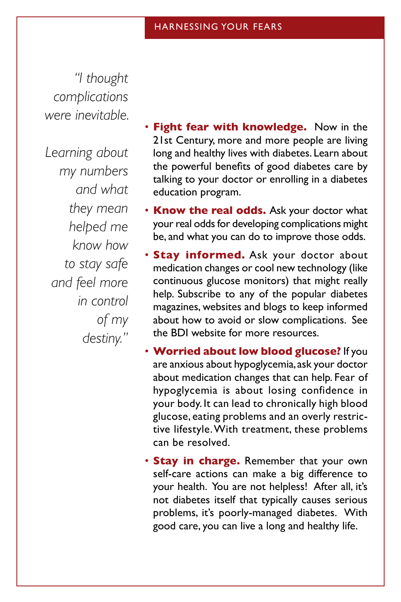*"I thought complications were inevitable.* 

*Learning about my numbers and what they mean helped me know how to stay safe and feel more in control of my destiny."*

- **Fight fear with knowledge.** Now in the 21st Century, more and more people are living long and healthy lives with diabetes. Learn about the powerful benefits of good diabetes care by talking to your doctor or enrolling in a diabetes education program.
- **Know the real odds.** Ask your doctor what your real odds for developing complications might be, and what you can do to improve those odds.
- **Stay informed.** Ask your doctor about medication changes or cool new technology (like continuous glucose monitors) that might really help. Subscribe to any of the popular diabetes magazines, websites and blogs to keep informed about how to avoid or slow complications. See the BDI website for more resources.
- **Worried about low blood glucose?** If you are anxious about hypoglycemia, ask your doctor about medication changes that can help. Fear of hypoglycemia is about losing confidence in your body. It can lead to chronically high blood glucose, eating problems and an overly restrictive lifestyle. With treatment, these problems can be resolved.
- **Stay in charge.** Remember that your own self-care actions can make a big difference to your health. You are not helpless! After all, it's not diabetes itself that typically causes serious problems, it's poorly-managed diabetes. With good care, you can live a long and healthy life.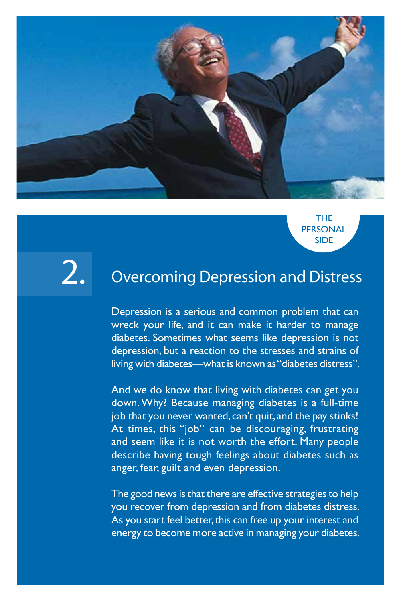

THE PERSONAL SIDE

### 2.

#### Overcoming Depression and Distress

Depression is a serious and common problem that can wreck your life, and it can make it harder to manage diabetes. Sometimes what seems like depression is not depression, but a reaction to the stresses and strains of living with diabetes—what is known as "diabetes distress".

And we do know that living with diabetes can get you down. Why? Because managing diabetes is a full-time job that you never wanted, can't quit, and the pay stinks! At times, this "job" can be discouraging, frustrating and seem like it is not worth the effort. Many people describe having tough feelings about diabetes such as anger, fear, guilt and even depression.

The good news is that there are effective strategies to help you recover from depression and from diabetes distress. As you start feel better, this can free up your interest and energy to become more active in managing your diabetes.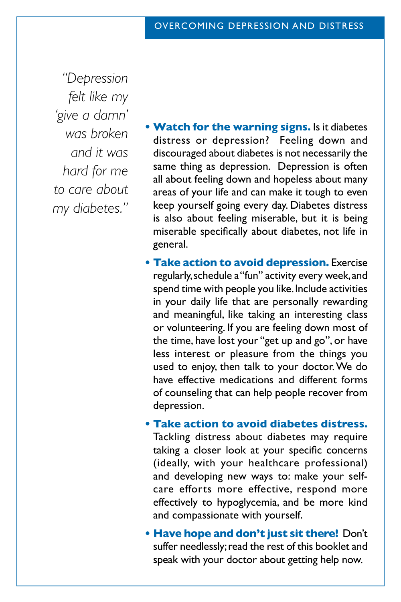*"Depression felt like my 'give a damn' was broken and it was hard for me to care about my diabetes."*

- **• Watch for the warning signs.** Is it diabetes distress or depression? Feeling down and discouraged about diabetes is not necessarily the same thing as depression. Depression is often all about feeling down and hopeless about many areas of your life and can make it tough to even keep yourself going every day. Diabetes distress is also about feeling miserable, but it is being miserable specifically about diabetes, not life in general.
- **• Take action to avoid depression.** Exercise regularly, schedule a "fun" activity every week, and spend time with people you like. Include activities in your daily life that are personally rewarding and meaningful, like taking an interesting class or volunteering. If you are feeling down most of the time, have lost your "get up and go", or have less interest or pleasure from the things you used to enjoy, then talk to your doctor. We do have effective medications and different forms of counseling that can help people recover from depression.
- **• Take action to avoid diabetes distress.** Tackling distress about diabetes may require taking a closer look at your specific concerns (ideally, with your healthcare professional) and developing new ways to: make your selfcare efforts more effective, respond more effectively to hypoglycemia, and be more kind and compassionate with yourself.
- **• Have hope and don't just sit there!** Don't suffer needlessly; read the rest of this booklet and speak with your doctor about getting help now.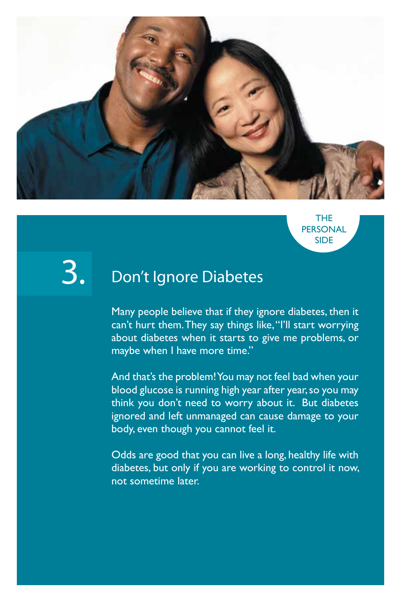

THE **PERSONAL** SIDE

3.

#### Don't Ignore Diabetes

Many people believe that if they ignore diabetes, then it can't hurt them. They say things like, "I'll start worrying about diabetes when it starts to give me problems, or maybe when I have more time."

And that's the problem! You may not feel bad when your blood glucose is running high year after year, so you may think you don't need to worry about it. But diabetes ignored and left unmanaged can cause damage to your body, even though you cannot feel it.

Odds are good that you can live a long, healthy life with diabetes, but only if you are working to control it now, not sometime later.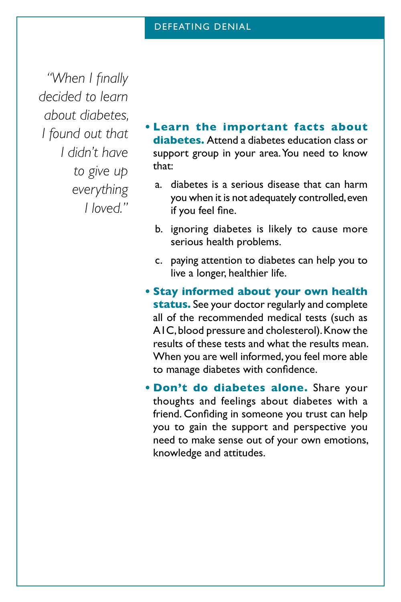*"When I finally decided to learn about diabetes, I found out that I didn't have to give up everything I loved."*

- **• Learn the important facts about diabetes.** Attend a diabetes education class or support group in your area. You need to know that:
	- a. diabetes is a serious disease that can harm you when it is not adequately controlled, even if you feel fine.
	- b. ignoring diabetes is likely to cause more serious health problems.
	- c. paying attention to diabetes can help you to live a longer, healthier life.
- **• Stay informed about your own health status.** See your doctor regularly and complete all of the recommended medical tests (such as A1C, blood pressure and cholesterol). Know the results of these tests and what the results mean. When you are well informed, you feel more able to manage diabetes with confidence.
- **• Don't do diabetes alone.** Share your thoughts and feelings about diabetes with a friend. Confiding in someone you trust can help you to gain the support and perspective you need to make sense out of your own emotions, knowledge and attitudes.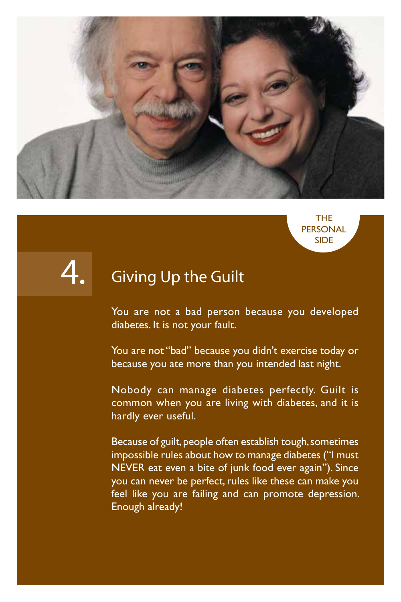





#### Giving Up the Guilt

You are not a bad person because you developed diabetes. It is not your fault.

You are not "bad" because you didn't exercise today or because you ate more than you intended last night.

Nobody can manage diabetes perfectly. Guilt is common when you are living with diabetes, and it is hardly ever useful.

Because of guilt, people often establish tough, sometimes impossible rules about how to manage diabetes ("I must NEVER eat even a bite of junk food ever again"). Since you can never be perfect, rules like these can make you feel like you are failing and can promote depression. Enough already!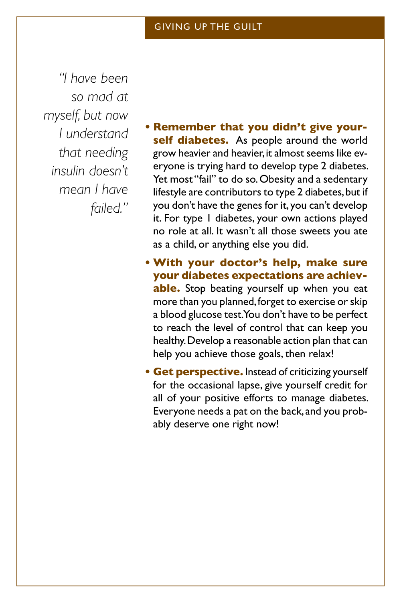*"I have been so mad at myself, but now I understand that needing insulin doesn't mean I have failed."*

- **• Remember that you didn't give your**self diabetes. As people around the world grow heavier and heavier, it almost seems like everyone is trying hard to develop type 2 diabetes. Yet most "fail" to do so. Obesity and a sedentary lifestyle are contributors to type 2 diabetes, but if you don't have the genes for it, you can't develop it. For type 1 diabetes, your own actions played no role at all. It wasn't all those sweets you ate as a child, or anything else you did.
- **• With your doctor's help, make sure your diabetes expectations are achievable.** Stop beating yourself up when you eat more than you planned, forget to exercise or skip a blood glucose test. You don't have to be perfect to reach the level of control that can keep you healthy. Develop a reasonable action plan that can help you achieve those goals, then relax!
- **• Get perspective.** Instead of criticizing yourself for the occasional lapse, give yourself credit for all of your positive efforts to manage diabetes. Everyone needs a pat on the back, and you probably deserve one right now!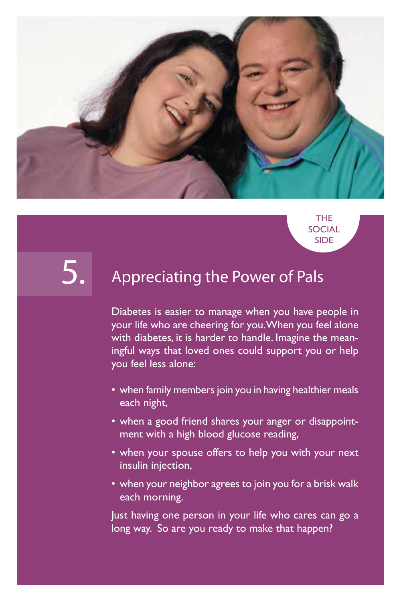

THE **SOCIAL** SIDE

5.

#### Appreciating the Power of Pals

Diabetes is easier to manage when you have people in your life who are cheering for you. When you feel alone with diabetes, it is harder to handle. Imagine the meaningful ways that loved ones could support you or help you feel less alone:

- when family members join you in having healthier meals each night,
- when a good friend shares your anger or disappointment with a high blood glucose reading,
- when your spouse offers to help you with your next insulin injection,
- when your neighbor agrees to join you for a brisk walk each morning.

Just having one person in your life who cares can go a long way. So are you ready to make that happen?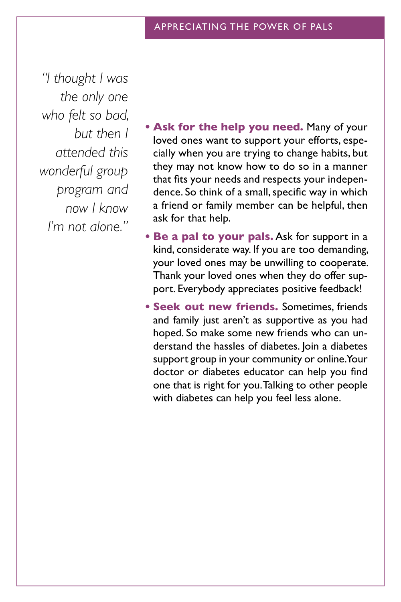*"I thought I was the only one who felt so bad, but then I attended this wonderful group program and now I know I'm not alone."*

- **• Ask for the help you need.** Many of your loved ones want to support your efforts, especially when you are trying to change habits, but they may not know how to do so in a manner that fits your needs and respects your independence. So think of a small, specific way in which a friend or family member can be helpful, then ask for that help.
- **• Be a pal to your pals.** Ask for support in a kind, considerate way. If you are too demanding, your loved ones may be unwilling to cooperate. Thank your loved ones when they do offer support. Everybody appreciates positive feedback!
- **• Seek out new friends.** Sometimes, friends and family just aren't as supportive as you had hoped. So make some new friends who can understand the hassles of diabetes. Join a diabetes support group in your community or online. Your doctor or diabetes educator can help you find one that is right for you. Talking to other people with diabetes can help you feel less alone.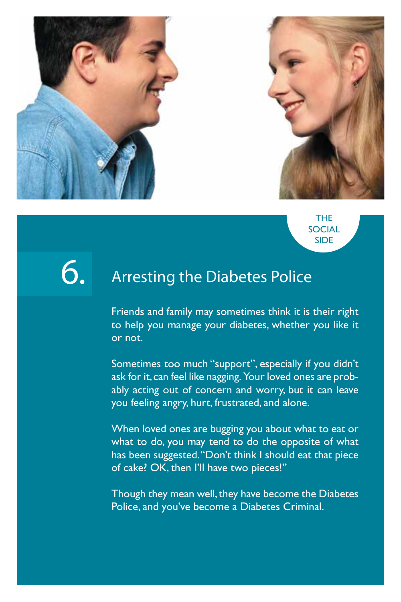

THE **SOCIAL** SIDE

### **6.**

#### Arresting the Diabetes Police

Friends and family may sometimes think it is their right to help you manage your diabetes, whether you like it or not.

Sometimes too much "support", especially if you didn't ask for it, can feel like nagging. Your loved ones are probably acting out of concern and worry, but it can leave you feeling angry, hurt, frustrated, and alone.

When loved ones are bugging you about what to eat or what to do, you may tend to do the opposite of what has been suggested. "Don't think I should eat that piece of cake? OK, then I'll have two pieces!"

Though they mean well, they have become the Diabetes Police, and you've become a Diabetes Criminal.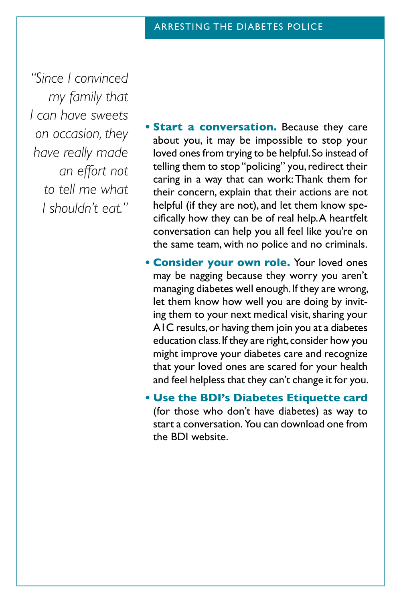*"Since I convinced my family that I can have sweets on occasion, they have really made an effort not to tell me what I shouldn't eat."*

- **• Start a conversation.** Because they care about you, it may be impossible to stop your loved ones from trying to be helpful. So instead of telling them to stop "policing" you, redirect their caring in a way that can work: Thank them for their concern, explain that their actions are not helpful (if they are not), and let them know specifically how they can be of real help. A heartfelt conversation can help you all feel like you're on the same team, with no police and no criminals.
- **• Consider your own role.** Your loved ones may be nagging because they worry you aren't managing diabetes well enough. If they are wrong, let them know how well you are doing by inviting them to your next medical visit, sharing your A1C results, or having them join you at a diabetes education class. If they are right, consider how you might improve your diabetes care and recognize that your loved ones are scared for your health and feel helpless that they can't change it for you.
- **• Use the BDI's Diabetes Etiquette card** (for those who don't have diabetes) as way to start a conversation. You can download one from the BDI website.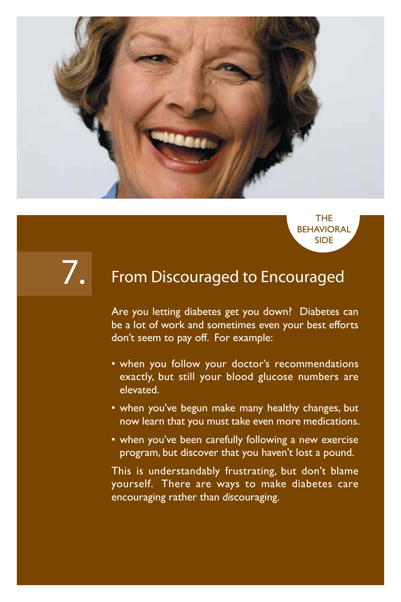

### 7.

#### From Discouraged to Encouraged

THE **BEHAVIORAL** SIDE

Are you letting diabetes get you down? Diabetes can be a lot of work and sometimes even your best efforts don't seem to pay off. For example:

- when you follow your doctor's recommendations exactly, but still your blood glucose numbers are elevated.
- when you've begun make many healthy changes, but now learn that you must take even more medications.
- when you've been carefully following a new exercise program, but discover that you haven't lost a pound.

This is understandably frustrating, but don't blame yourself. There are ways to make diabetes care encouraging rather than *dis*couraging.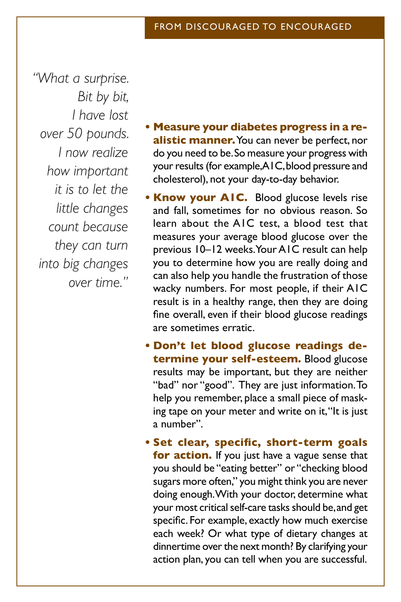*"What a surprise. Bit by bit, I have lost over 50 pounds. I now realize how important it is to let the little changes count because they can turn into big changes over time."*

- **• Measure your diabetes progress in a realistic manner.** You can never be perfect, nor do you need to be. So measure your progress with your results (for example, AIC, blood pressure and cholesterol), not your day-to-day behavior.
- **• Know your A1C.** Blood glucose levels rise and fall, sometimes for no obvious reason. So learn about the A1C test, a blood test that measures your average blood glucose over the previous 10–12 weeks. Your A1C result can help you to determine how you are really doing and can also help you handle the frustration of those wacky numbers. For most people, if their A1C result is in a healthy range, then they are doing fine overall, even if their blood glucose readings are sometimes erratic.
- **• Don't let blood glucose readings determine your self-esteem.** Blood glucose results may be important, but they are neither "bad" nor "good". They are just information. To help you remember, place a small piece of masking tape on your meter and write on it, "It is just a number".
- **• Set clear, specific, short-term goals for action.** If you just have a vague sense that you should be "eating better" or "checking blood sugars more often," you might think you are never doing enough. With your doctor, determine what your most critical self-care tasks should be, and get specific. For example, exactly how much exercise each week? Or what type of dietary changes at dinnertime over the next month? By clarifying your action plan, you can tell when you are successful.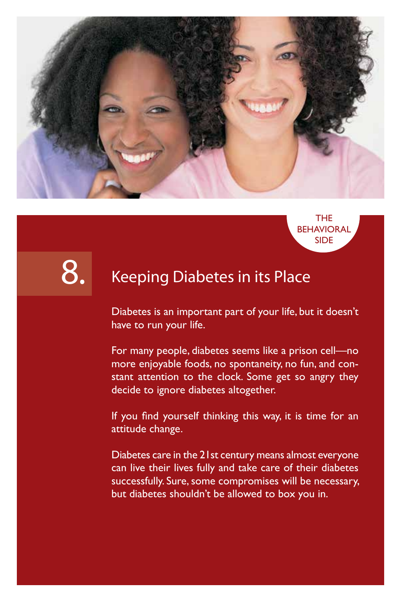



### 8.

#### Keeping Diabetes in its Place

Diabetes is an important part of your life, but it doesn't have to run your life.

For many people, diabetes seems like a prison cell—no more enjoyable foods, no spontaneity, no fun, and constant attention to the clock. Some get so angry they decide to ignore diabetes altogether.

If you find yourself thinking this way, it is time for an attitude change.

Diabetes care in the 21st century means almost everyone can live their lives fully and take care of their diabetes successfully. Sure, some compromises will be necessary, but diabetes shouldn't be allowed to box you in.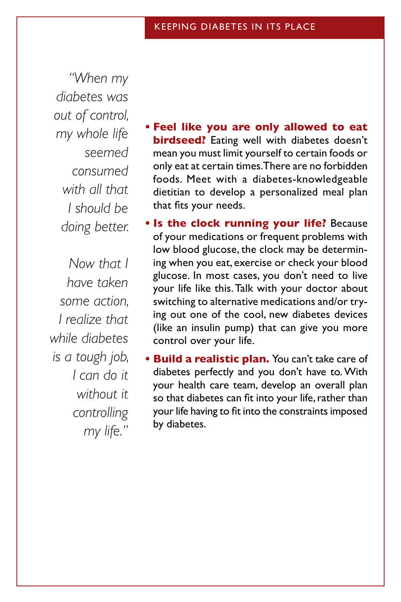*"When my diabetes was out of control, my whole life seemed consumed with all that I should be doing better.*

*Now that I have taken some action, I realize that while diabetes is a tough job, I can do it without it controlling my life."*

- **• Feel like you are only allowed to eat birdseed?** Eating well with diabetes doesn't mean you must limit yourself to certain foods or only eat at certain times. There are no forbidden foods. Meet with a diabetes-knowledgeable dietitian to develop a personalized meal plan that fits your needs.
- **• Is the clock running your life?** Because of your medications or frequent problems with low blood glucose, the clock may be determining when you eat, exercise or check your blood glucose. In most cases, you don't need to live your life like this. Talk with your doctor about switching to alternative medications and/or trying out one of the cool, new diabetes devices (like an insulin pump) that can give you more control over your life.
- **• Build a realistic plan.** You can't take care of diabetes perfectly and you don't have to. With your health care team, develop an overall plan so that diabetes can fit into your life, rather than your life having to fit into the constraints imposed by diabetes.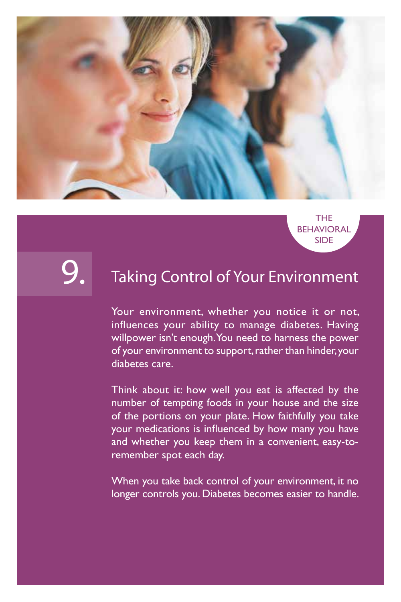

THE **BEHAVIORAL** SIDE

9.

#### Taking Control of Your Environment

Your environment, whether you notice it or not, influences your ability to manage diabetes. Having willpower isn't enough. You need to harness the power of your environment to support, rather than hinder, your diabetes care.

Think about it: how well you eat is affected by the number of tempting foods in your house and the size of the portions on your plate. How faithfully you take your medications is influenced by how many you have and whether you keep them in a convenient, easy-toremember spot each day.

When you take back control of your environment, it no longer controls you. Diabetes becomes easier to handle.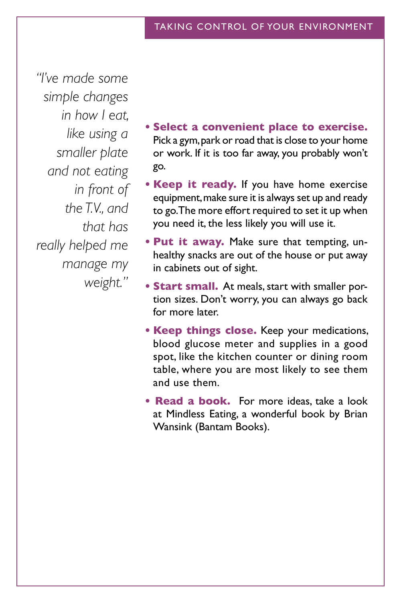*"I've made some simple changes in how I eat, like using a smaller plate and not eating in front of the T.V., and that has really helped me manage my weight."*

- **• Select a convenient place to exercise.**  Pick a gym, park or road that is close to your home or work. If it is too far away, you probably won't go.
- **• Keep it ready.** If you have home exercise equipment, make sure it is always set up and ready to go. The more effort required to set it up when you need it, the less likely you will use it.
- **• Put it away.** Make sure that tempting, unhealthy snacks are out of the house or put away in cabinets out of sight.
- **• Start small.** At meals, start with smaller portion sizes. Don't worry, you can always go back for more later.
- **• Keep things close.** Keep your medications, blood glucose meter and supplies in a good spot, like the kitchen counter or dining room table, where you are most likely to see them and use them.
- **Read a book.** For more ideas, take a look at Mindless Eating, a wonderful book by Brian Wansink (Bantam Books).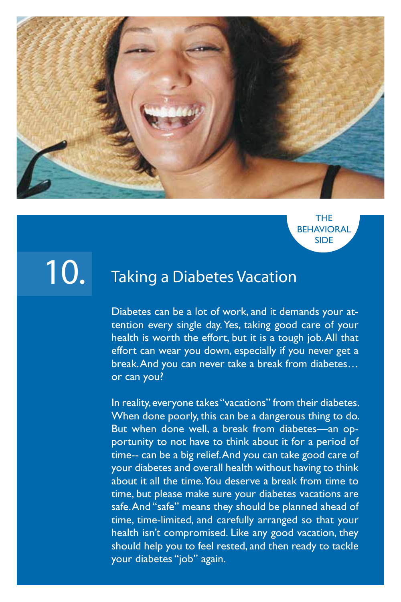

#### THE **BEHAVIORAL** SIDE

## 10.

#### Taking a Diabetes Vacation

Diabetes can be a lot of work, and it demands your attention every single day. Yes, taking good care of your health is worth the effort, but it is a tough job. All that effort can wear you down, especially if you never get a break. And you can never take a break from diabetes… or can you?

In reality, everyone takes "vacations" from their diabetes. When done poorly, this can be a dangerous thing to do. But when done well, a break from diabetes—an opportunity to not have to think about it for a period of time-- can be a big relief. And you can take good care of your diabetes and overall health without having to think about it all the time. You deserve a break from time to time, but please make sure your diabetes vacations are safe. And "safe" means they should be planned ahead of time, time-limited, and carefully arranged so that your health isn't compromised. Like any good vacation, they should help you to feel rested, and then ready to tackle your diabetes "job" again.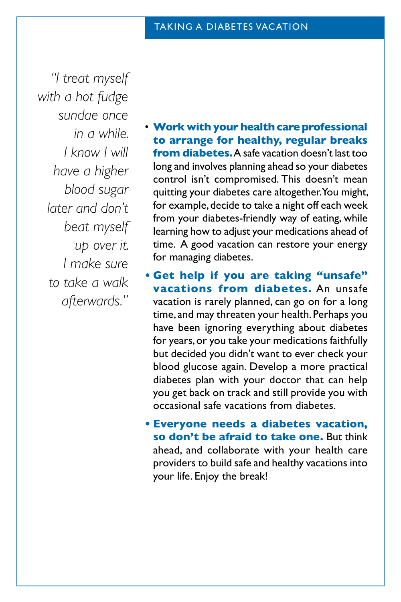*"I treat myself with a hot fudge sundae once in a while. I know I will have a higher blood sugar later and don't beat myself up over it. I make sure to take a walk afterwards."*

- **Work with your health care professional to arrange for healthy, regular breaks from diabetes.** A safe vacation doesn't last too long and involves planning ahead so your diabetes control isn't compromised. This doesn't mean quitting your diabetes care altogether. You might, for example, decide to take a night off each week from your diabetes-friendly way of eating, while learning how to adjust your medications ahead of time. A good vacation can restore your energy for managing diabetes.
- **• Get help if you are taking "unsafe" vacations from diabetes.** An unsafe vacation is rarely planned, can go on for a long time, and may threaten your health. Perhaps you have been ignoring everything about diabetes for years, or you take your medications faithfully but decided you didn't want to ever check your blood glucose again. Develop a more practical diabetes plan with your doctor that can help you get back on track and still provide you with occasional safe vacations from diabetes.
- **• Everyone needs a diabetes vacation, so don't be afraid to take one.** But think ahead, and collaborate with your health care providers to build safe and healthy vacations into your life. Enjoy the break!